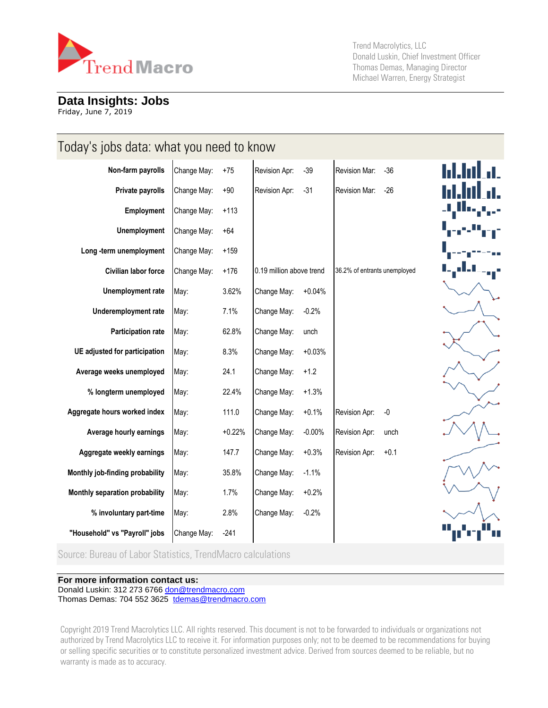

Trend Macrolytics, LLC Donald Luskin, Chief Investment Officer Thomas Demas, Managing Director Michael Warren, Energy Strategist

#### **Data Insights: Jobs**

Friday, June 7, 2019

| Today's jobs data: what you need to know |             |          |                          |          |                              |  |
|------------------------------------------|-------------|----------|--------------------------|----------|------------------------------|--|
| Non-farm payrolls                        | Change May: | $+75$    | Revision Apr:            | $-39$    | Revision Mar:<br>$-36$       |  |
| Private payrolls                         | Change May: | $+90$    | Revision Apr:            | $-31$    | Revision Mar:<br>$-26$       |  |
| Employment                               | Change May: | $+113$   |                          |          |                              |  |
| <b>Unemployment</b>                      | Change May: | $+64$    |                          |          |                              |  |
| Long-term unemployment                   | Change May: | $+159$   |                          |          |                              |  |
| Civilian labor force                     | Change May: | $+176$   | 0.19 million above trend |          | 36.2% of entrants unemployed |  |
| Unemployment rate                        | May:        | 3.62%    | Change May:              | $+0.04%$ |                              |  |
| Underemployment rate                     | May:        | 7.1%     | Change May:              | $-0.2%$  |                              |  |
| <b>Participation rate</b>                | May:        | 62.8%    | Change May:              | unch     |                              |  |
| UE adjusted for participation            | May:        | 8.3%     | Change May:              | $+0.03%$ |                              |  |
| Average weeks unemployed                 | May:        | 24.1     | Change May:              | $+1.2$   |                              |  |
| % longterm unemployed                    | May:        | 22.4%    | Change May:              | $+1.3%$  |                              |  |
| Aggregate hours worked index             | May:        | 111.0    | Change May:              | $+0.1%$  | $-0$<br>Revision Apr:        |  |
| Average hourly earnings                  | May:        | $+0.22%$ | Change May:              | $-0.00%$ | Revision Apr:<br>unch        |  |
| Aggregate weekly earnings                | May:        | 147.7    | Change May:              | $+0.3%$  | Revision Apr:<br>$+0.1$      |  |
| Monthly job-finding probability          | May:        | 35.8%    | Change May:              | $-1.1%$  |                              |  |
| Monthly separation probability           | May:        | 1.7%     | Change May:              | $+0.2%$  |                              |  |
| % involuntary part-time                  | May:        | 2.8%     | Change May:              | $-0.2%$  |                              |  |
| "Household" vs "Payroll" jobs            | Change May: | $-241$   |                          |          |                              |  |

Source: Bureau of Labor Statistics, TrendMacro calculations

#### **For more information contact us:**

Donald Luskin: 312 273 6766 [don@trendmacro.com](mailto:don@trendmacro.com) 

Thomas Demas: 704 552 3625 [tdemas@trendmacro.com](mailto:tdemas@trendmacro.com)

Copyright 2019 Trend Macrolytics LLC. All rights reserved. This document is not to be forwarded to individuals or organizations not authorized by Trend Macrolytics LLC to receive it. For information purposes only; not to be deemed to be recommendations for buying or selling specific securities or to constitute personalized investment advice. Derived from sources deemed to be reliable, but no warranty is made as to accuracy.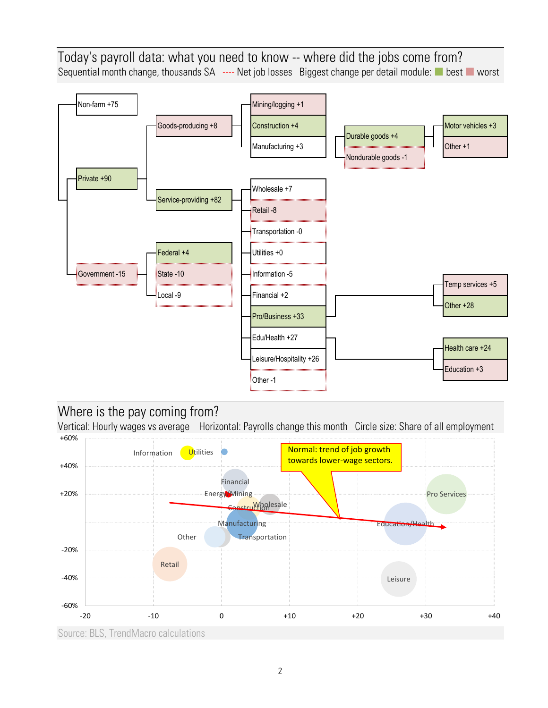Today's payroll data: what you need to know -- where did the jobs come from? Sequential month change, thousands SA ---- Net job losses Biggest change per detail module: best worst



## Where is the pay coming from?

Vertical: Hourly wages vs average Horizontal: Payrolls change this month Circle size: Share of all employment +60%



Source: BLS, TrendMacro calculations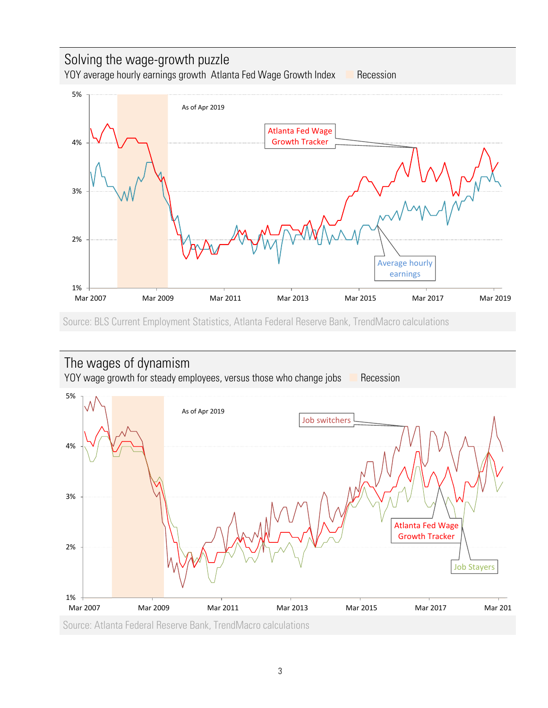## Solving the wage-growth puzzle YOY average hourly earnings growth Atlanta Fed Wage Growth Index **Recession** As of Apr 2019 5%



Source: BLS Current Employment Statistics, Atlanta Federal Reserve Bank, TrendMacro calculations

# The wages of dynamism

YOY wage growth for steady employees, versus those who change jobs **Recession** 

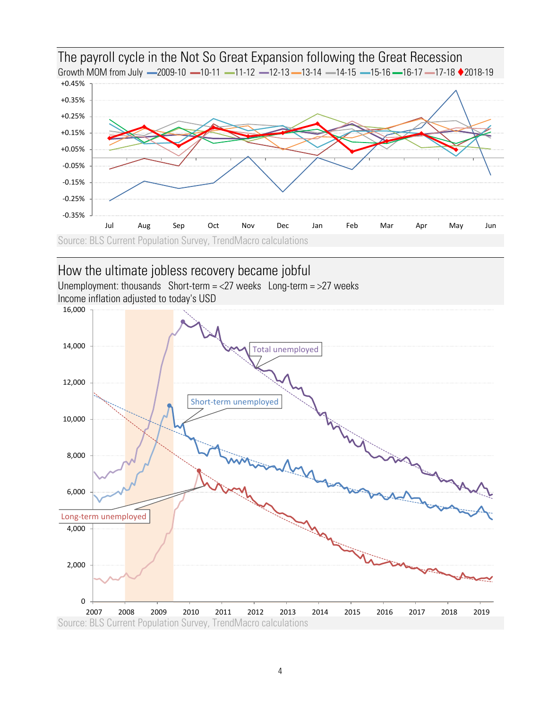

The payroll cycle in the Not So Great Expansion following the Great Recession

#### How the ultimate jobless recovery became jobful

Unemployment: thousands Short-term =  $\langle 27 \text{ weeks} \cdot \text{Long-term} = \rangle$  weeks Income inflation adjusted to today's USD

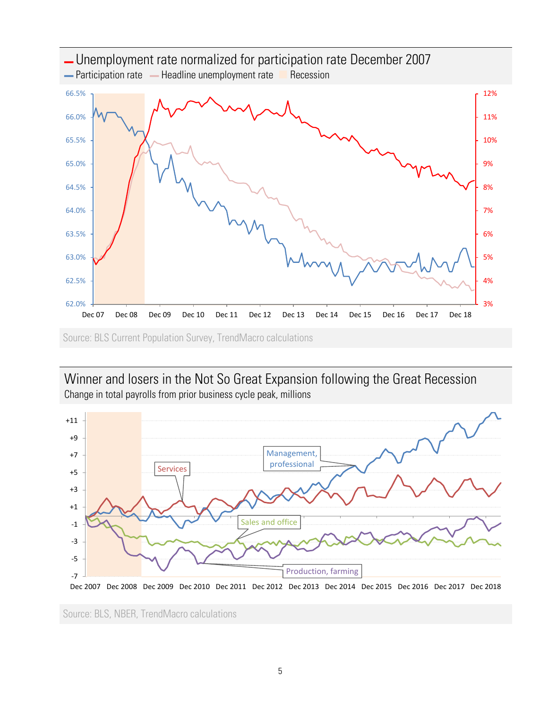

Winner and losers in the Not So Great Expansion following the Great Recession Change in total payrolls from prior business cycle peak, millions



Source: BLS, NBER, TrendMacro calculations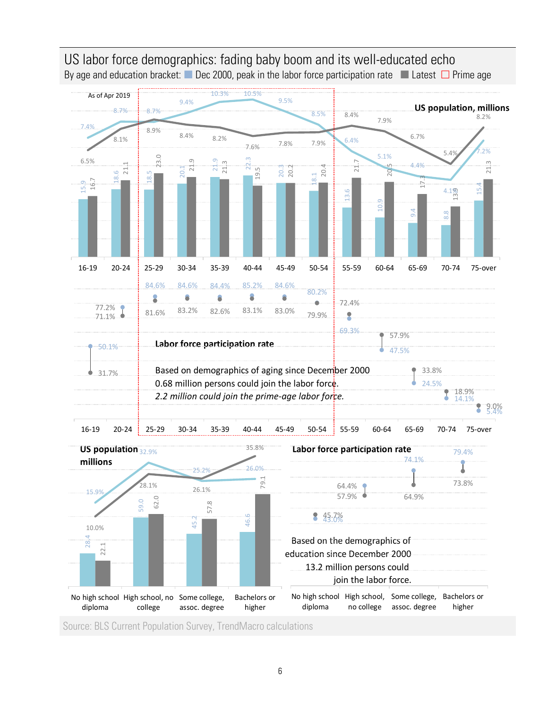

US labor force demographics: fading baby boom and its well-educated echo By age and education bracket: Dec 2000, peak in the labor force participation rate Latest  $\Box$  Prime age

Source: BLS Current Population Survey, TrendMacro calculations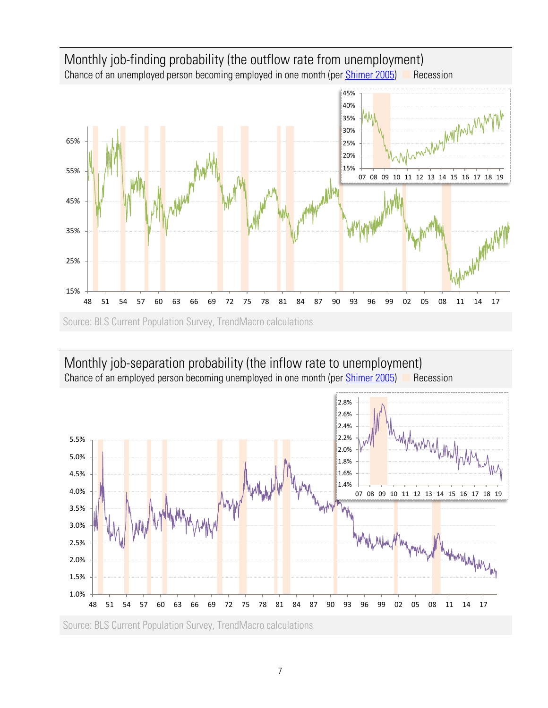

### Monthly job-separation probability (the inflow rate to unemployment) Chance of an employed person becoming unemployed in one month (per [Shimer 2005\)](http://citeseerx.ist.psu.edu/viewdoc/download?doi=10.1.1.323.6049&rep=rep1&type=pdf) **Recession**

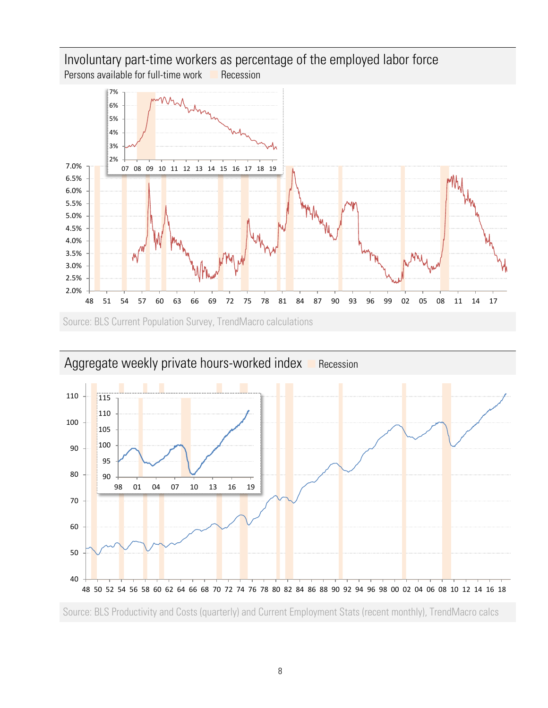

Source: BLS Current Population Survey, TrendMacro calculations



# Aggregate weekly private hours-worked index **Recession**

Source: BLS Productivity and Costs (quarterly) and Current Employment Stats (recent monthly), TrendMacro calcs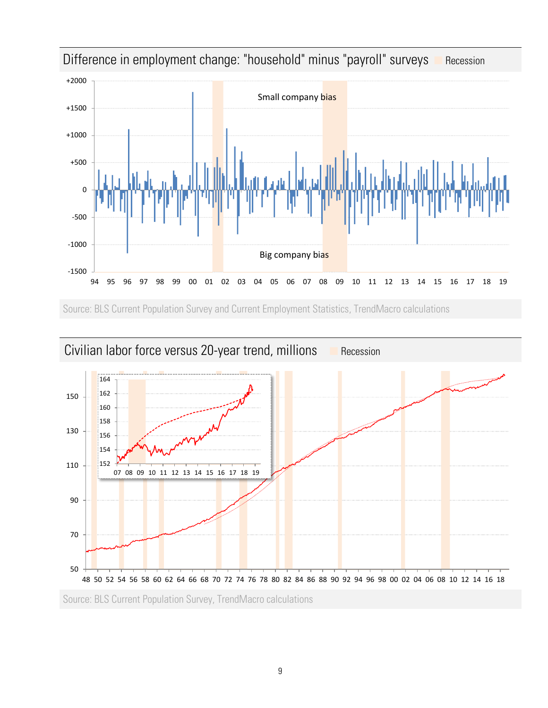

Difference in employment change: "household" minus "payroll" surveys **Recession** 

Source: BLS Current Population Survey and Current Employment Statistics, TrendMacro calculations